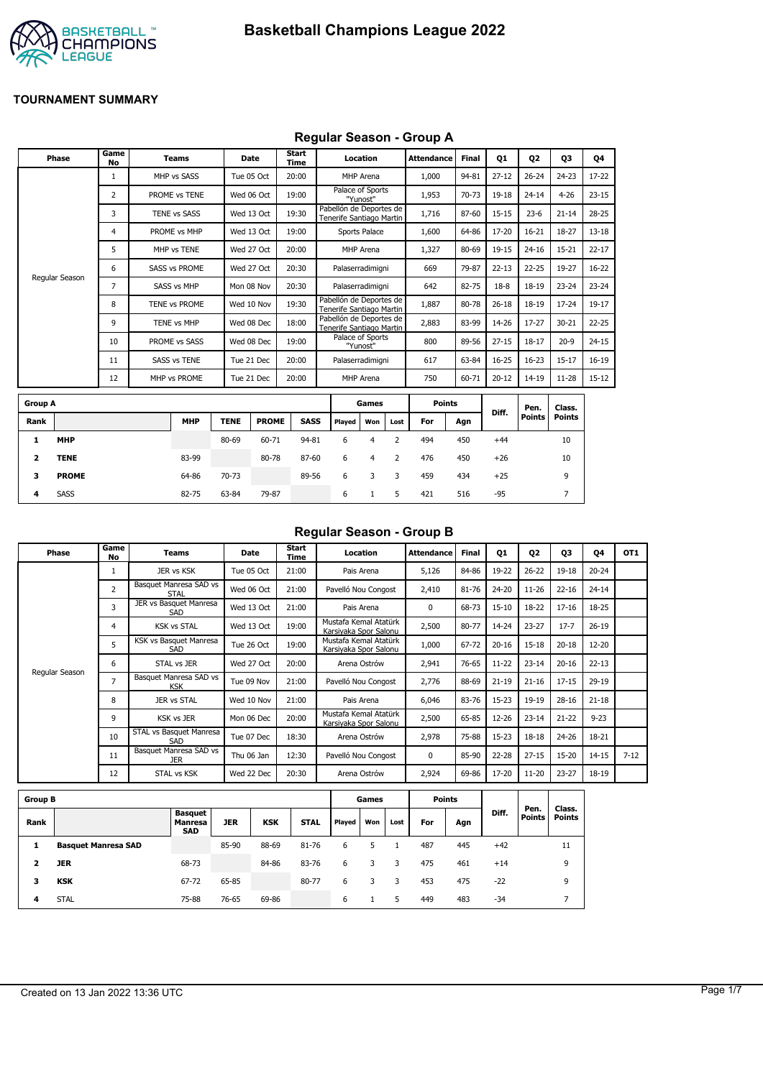

### **Regular Season - Group A**

|                | Phase          | Game<br>No   | <b>Teams</b>         | Date        |              | <b>Start</b><br>Time |             |                                                     | Location      |                | <b>Attendance</b> | Final | <b>Q1</b> | 02            | 03            | Q4        |
|----------------|----------------|--------------|----------------------|-------------|--------------|----------------------|-------------|-----------------------------------------------------|---------------|----------------|-------------------|-------|-----------|---------------|---------------|-----------|
|                |                | $\mathbf{1}$ | MHP vs SASS          | Tue 05 Oct  |              | 20:00                |             |                                                     | MHP Arena     |                | 1,000             | 94-81 | $27 - 12$ | $26 - 24$     | $24 - 23$     | 17-22     |
|                |                | 2            | PROME vs TENE        | Wed 06 Oct  |              | 19:00                |             | Palace of Sports                                    | "Yunost"      |                | 1,953             | 70-73 | 19-18     | $24 - 14$     | $4 - 26$      | $23 - 15$ |
|                |                | 3            | <b>TENE vs SASS</b>  | Wed 13 Oct  |              | 19:30                |             | Pabellón de Deportes de<br>Tenerife Santiago Martin |               |                | 1,716             | 87-60 | $15 - 15$ | $23 - 6$      | $21 - 14$     | 28-25     |
|                |                | 4            | PROME vs MHP         | Wed 13 Oct  |              | 19:00                |             |                                                     | Sports Palace |                | 1,600             | 64-86 | 17-20     | $16 - 21$     | 18-27         | $13 - 18$ |
|                |                | 5            | MHP vs TENE          | Wed 27 Oct  |              | 20:00                |             |                                                     | MHP Arena     |                | 1,327             | 80-69 | 19-15     | $24 - 16$     | $15 - 21$     | $22 - 17$ |
|                |                | 6            | <b>SASS vs PROME</b> | Wed 27 Oct  |              | 20:30                |             | Palaserradimigni                                    |               |                | 669               | 79-87 | $22 - 13$ | $22 - 25$     | 19-27         | $16 - 22$ |
|                | Regular Season | 7            | <b>SASS vs MHP</b>   | Mon 08 Nov  |              | 20:30                |             | Palaserradimigni                                    |               |                | 642               | 82-75 | $18-8$    | 18-19         | $23 - 24$     | $23 - 24$ |
|                |                | 8            | TENE vs PROME        | Wed 10 Nov  |              | 19:30                |             | Pabellón de Deportes de<br>Tenerife Santiago Martin |               |                | 1,887             | 80-78 | $26 - 18$ | $18 - 19$     | $17 - 24$     | 19-17     |
|                |                | 9            | TENE vs MHP          | Wed 08 Dec  |              | 18:00                |             | Pabellón de Deportes de<br>Tenerife Santiago Martin |               |                | 2,883             | 83-99 | 14-26     | $17 - 27$     | $30 - 21$     | $22 - 25$ |
|                |                | 10           | PROME vs SASS        | Wed 08 Dec  |              | 19:00                |             | Palace of Sports                                    | "Yunost"      |                | 800               | 89-56 | $27 - 15$ | $18 - 17$     | $20 - 9$      | $24 - 15$ |
|                |                | 11           | <b>SASS vs TENE</b>  | Tue 21 Dec  |              | 20:00                |             | Palaserradimigni                                    |               |                | 617               | 63-84 | $16 - 25$ | $16 - 23$     | $15 - 17$     | $16-19$   |
|                |                | 12           | MHP vs PROME         | Tue 21 Dec  |              | 20:00                |             |                                                     | MHP Arena     |                | 750               | 60-71 | $20 - 12$ | $14 - 19$     | $11 - 28$     | $15 - 12$ |
| <b>Group A</b> |                |              |                      |             |              |                      |             |                                                     | Games         |                | <b>Points</b>     |       |           | Pen.          | Class.        |           |
| Rank           |                |              | <b>MHP</b>           | <b>TENE</b> | <b>PROME</b> |                      | <b>SASS</b> | Played                                              | Won           | Lost           | For               | Agn   | Diff.     | <b>Points</b> | <b>Points</b> |           |
| 1              | <b>MHP</b>     |              |                      | 80-69       | 60-71        |                      | 94-81       | 6                                                   | 4             | $\overline{2}$ | 494               | 450   | $+44$     |               | 10            |           |
| 2              | <b>TENE</b>    |              | 83-99                |             | 80-78        |                      | 87-60       | 6                                                   | 4             | 2              | 476               | 450   | $+26$     |               | 10            |           |
| 3              | <b>PROME</b>   |              | 64-86                | 70-73       |              |                      | 89-56       | 6                                                   | 3             | 3              | 459               | 434   | $+25$     |               | 9             |           |

**4** SASS 82-75 63-84 79-87 6 1 5 421 516 -95 7

## **Regular Season - Group B**

| Phase          | Game<br>No     | Teams                                | Date       | Start<br>Time | Location                                       | <b>Attendance</b> | <b>Final</b> | 01        | 02        | 03        | 04        | OT <sub>1</sub> |
|----------------|----------------|--------------------------------------|------------|---------------|------------------------------------------------|-------------------|--------------|-----------|-----------|-----------|-----------|-----------------|
|                |                | JER vs KSK                           | Tue 05 Oct | 21:00         | Pais Arena                                     | 5,126             | 84-86        | 19-22     | $26 - 22$ | $19 - 18$ | $20 - 24$ |                 |
|                | $\overline{2}$ | Basquet Manresa SAD vs<br>STAL       | Wed 06 Oct | 21:00         | Pavelló Nou Congost                            | 2,410             | 81-76        | 24-20     | $11 - 26$ | $22 - 16$ | $24 - 14$ |                 |
|                | 3              | JER vs Basquet Manresa<br>SAD        | Wed 13 Oct | 21:00         | Pais Arena                                     | $\Omega$          | 68-73        | $15 - 10$ | 18-22     | $17 - 16$ | 18-25     |                 |
|                | 4              | <b>KSK vs STAL</b>                   | Wed 13 Oct | 19:00         | Mustafa Kemal Atatürk<br>Karsivaka Spor Salonu | 2,500             | 80-77        | 14-24     | $23 - 27$ | $17 - 7$  | $26-19$   |                 |
|                | 5              | KSK vs Basquet Manresa<br>SAD        | Tue 26 Oct | 19:00         | Mustafa Kemal Atatürk<br>Karsiyaka Spor Salonu | 1,000             | 67-72        | $20 - 16$ | $15 - 18$ | $20 - 18$ | $12 - 20$ |                 |
|                | 6              | STAL vs JER                          | Wed 27 Oct | 20:00         | Arena Ostrów                                   | 2,941             | 76-65        | $11 - 22$ | $23 - 14$ | $20 - 16$ | $22 - 13$ |                 |
| Regular Season | 7              | Basquet Manresa SAD vs<br><b>KSK</b> | Tue 09 Nov | 21:00         | Pavelló Nou Congost                            | 2,776             | 88-69        | $21 - 19$ | $21 - 16$ | $17 - 15$ | 29-19     |                 |
|                | 8              | JER vs STAL                          | Wed 10 Nov | 21:00         | Pais Arena                                     | 6,046             | 83-76        | $15-23$   | 19-19     | $28 - 16$ | $21 - 18$ |                 |
|                | 9              | <b>KSK vs JER</b>                    | Mon 06 Dec | 20:00         | Mustafa Kemal Atatürk<br>Karsiyaka Spor Salonu | 2,500             | 65-85        | 12-26     | $23 - 14$ | $21 - 22$ | $9 - 23$  |                 |
|                | 10             | STAL vs Basquet Manresa<br>SAD       | Tue 07 Dec | 18:30         | Arena Ostrów                                   | 2,978             | 75-88        | $15 - 23$ | $18 - 18$ | $24 - 26$ | 18-21     |                 |
|                | 11             | Basquet Manresa SAD vs<br><b>JER</b> | Thu 06 Jan | 12:30         | Pavelló Nou Congost                            | $\Omega$          | 85-90        | $22 - 28$ | $27 - 15$ | $15 - 20$ | $14 - 15$ | $7 - 12$        |
|                | 12             | STAL vs KSK                          | Wed 22 Dec | 20:30         | Arena Ostrów                                   | 2,924             | 69-86        | 17-20     | $11 - 20$ | $23 - 27$ | 18-19     |                 |

| <b>Group B</b> |                            |                                         |       |            |             |        | Games |      |     | <b>Points</b> |       |                       |                         |
|----------------|----------------------------|-----------------------------------------|-------|------------|-------------|--------|-------|------|-----|---------------|-------|-----------------------|-------------------------|
| Rank           |                            | <b>Basquet</b><br>Manresa<br><b>SAD</b> | JER   | <b>KSK</b> | <b>STAL</b> | Played | Won   | Lost | For | Agn           | Diff. | Pen.<br><b>Points</b> | Class.<br><b>Points</b> |
|                | <b>Basquet Manresa SAD</b> |                                         | 85-90 | 88-69      | 81-76       | 6      |       |      | 487 | 445           | $+42$ |                       | 11                      |
|                | <b>JER</b>                 | 68-73                                   |       | 84-86      | 83-76       | 6      |       | 3    | 475 | 461           | $+14$ |                       | 9                       |
| з              | <b>KSK</b>                 | 67-72                                   | 65-85 |            | 80-77       | 6      |       | 3    | 453 | 475           | $-22$ |                       | 9                       |
| 4              | <b>STAL</b>                | 75-88                                   | 76-65 | 69-86      |             | 6      |       | 5    | 449 | 483           | $-34$ |                       |                         |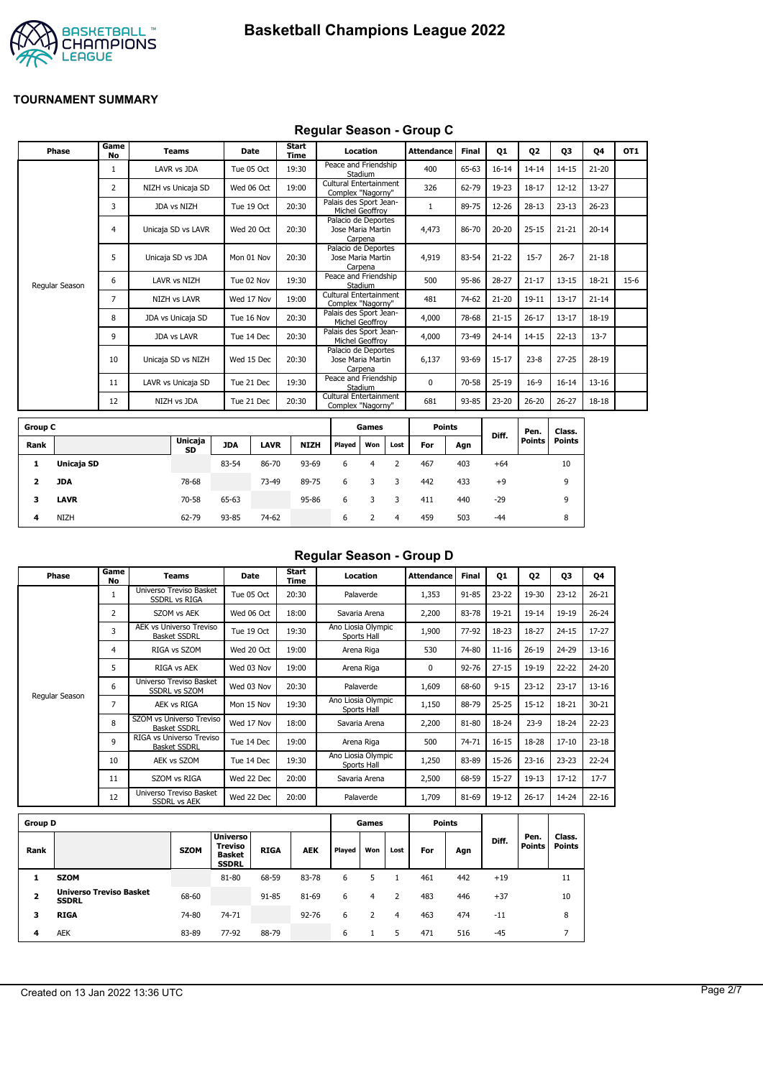



### **Regular Season - Group C**

| Phase          | Game<br><b>No</b> | <b>Teams</b>        | Date       | Start<br>Time | Location                                            | <b>Attendance</b> | <b>Final</b> | Q1        | Q <sub>2</sub> | Q3        | 04        | OT <sub>1</sub> |
|----------------|-------------------|---------------------|------------|---------------|-----------------------------------------------------|-------------------|--------------|-----------|----------------|-----------|-----------|-----------------|
|                |                   | LAVR vs JDA         | Tue 05 Oct | 19:30         | Peace and Friendship<br>Stadium                     | 400               | 65-63        | $16 - 14$ | $14 - 14$      | $14 - 15$ | $21 - 20$ |                 |
|                | 2                 | NIZH vs Unicaja SD  | Wed 06 Oct | 19:00         | Cultural Entertainment<br>Complex "Nagorny"         | 326               | 62-79        | 19-23     | $18 - 17$      | $12 - 12$ | $13 - 27$ |                 |
|                | 3                 | JDA vs NIZH         | Tue 19 Oct | 20:30         | Palais des Sport Jean-<br>Michel Geoffrov           |                   | 89-75        | 12-26     | $28 - 13$      | $23 - 13$ | $26 - 23$ |                 |
|                | $\overline{4}$    | Unicaja SD vs LAVR  | Wed 20 Oct | 20:30         | Palacio de Deportes<br>Jose Maria Martin<br>Carpena | 4,473             | 86-70        | $20 - 20$ | $25 - 15$      | $21 - 21$ | $20 - 14$ |                 |
|                | 5                 | Unicaja SD vs JDA   | Mon 01 Nov | 20:30         | Palacio de Deportes<br>Jose Maria Martin<br>Carpena | 4,919             | 83-54        | $21 - 22$ | $15 - 7$       | $26 - 7$  | $21 - 18$ |                 |
| Regular Season | 6                 | LAVR vs NIZH        | Tue 02 Nov | 19:30         | Peace and Friendship<br>Stadium                     | 500               | 95-86        | $28 - 27$ | $21 - 17$      | $13 - 15$ | 18-21     | $15-6$          |
|                | 7                 | <b>NIZH vs LAVR</b> | Wed 17 Nov | 19:00         | Cultural Entertainment<br>Complex "Nagorny"         | 481               | 74-62        | $21 - 20$ | $19 - 11$      | $13 - 17$ | $21 - 14$ |                 |
|                | 8                 | JDA vs Unicaja SD   | Tue 16 Nov | 20:30         | Palais des Sport Jean-<br>Michel Geoffrov           | 4,000             | 78-68        | $21 - 15$ | $26 - 17$      | $13 - 17$ | 18-19     |                 |
|                | 9                 | <b>JDA vs LAVR</b>  | Tue 14 Dec | 20:30         | Palais des Sport Jean-<br>Michel Geoffrov           | 4,000             | 73-49        | $24 - 14$ | $14 - 15$      | $22 - 13$ | $13 - 7$  |                 |
|                | 10                | Unicaja SD vs NIZH  | Wed 15 Dec | 20:30         | Palacio de Deportes<br>Jose Maria Martin<br>Carpena | 6,137             | 93-69        | $15 - 17$ | $23 - 8$       | $27 - 25$ | 28-19     |                 |
|                | 11                | LAVR vs Unicaja SD  | Tue 21 Dec | 19:30         | Peace and Friendship<br>Stadium                     | 0                 | 70-58        | $25-19$   | $16-9$         | $16 - 14$ | $13 - 16$ |                 |
|                | 12                | NIZH vs JDA         | Tue 21 Dec | 20:30         | Cultural Entertainment<br>Complex "Nagorny"         | 681               | 93-85        | 23-20     | $26 - 20$      | $26 - 27$ | 18-18     |                 |
|                |                   |                     |            |               |                                                     |                   |              |           |                |           |           |                 |

| <b>Group C</b> |             |                      |            |             |             |        | Games |      | <b>Points</b> |     |       | Pen.   | Class. |
|----------------|-------------|----------------------|------------|-------------|-------------|--------|-------|------|---------------|-----|-------|--------|--------|
| Rank           |             | <b>Unicaja</b><br>SD | <b>JDA</b> | <b>LAVR</b> | <b>NIZH</b> | Played | Won   | Lost | For           | Agn | Diff. | Points | Points |
| л.             | Unicaja SD  |                      | 83-54      | 86-70       | 93-69       | 6      | 4     |      | 467           | 403 | $+64$ |        | 10     |
| 2              | JDA         | 78-68                |            | 73-49       | 89-75       | 6      | 3     | 3    | 442           | 433 | $+9$  |        | 9      |
| 3              | <b>LAVR</b> | 70-58                | 65-63      |             | 95-86       | 6      |       |      | 411           | 440 | $-29$ |        | 9      |
| 4              | <b>NIZH</b> | 62-79                | 93-85      | 74-62       |             | 6      |       | 4    | 459           | 503 | $-44$ |        | 8      |

## **Regular Season - Group D**

| Phase          | Game<br>No | Teams                                                 | <b>Date</b> | Start<br>Time | Location                          | <b>Attendance</b> | Final | Q1        | Q <sub>2</sub> | Q3        | Q4        |
|----------------|------------|-------------------------------------------------------|-------------|---------------|-----------------------------------|-------------------|-------|-----------|----------------|-----------|-----------|
|                | 1          | Universo Treviso Basket<br>SSDRL vs RIGA              | Tue 05 Oct  | 20:30         | Palaverde                         | 1,353             | 91-85 | $23 - 22$ | 19-30          | $23 - 12$ | $26 - 21$ |
|                | 2          | SZOM vs AEK                                           | Wed 06 Oct  | 18:00         | Savaria Arena                     | 2,200             | 83-78 | 19-21     | $19 - 14$      | 19-19     | $26 - 24$ |
|                | 3          | <b>AEK vs Universo Treviso</b><br><b>Basket SSDRL</b> | Tue 19 Oct  | 19:30         | Ano Liosia Olympic<br>Sports Hall | 1,900             | 77-92 | 18-23     | 18-27          | $24 - 15$ | $17 - 27$ |
|                | 4          | RIGA vs SZOM                                          | Wed 20 Oct  | 19:00         | Arena Riga                        | 530               | 74-80 | $11 - 16$ | $26 - 19$      | 24-29     | $13 - 16$ |
|                | 5          | RIGA vs AEK                                           | Wed 03 Nov  | 19:00         | Arena Riga                        | 0                 | 92-76 | $27 - 15$ | 19-19          | $22 - 22$ | 24-20     |
|                | 6          | Universo Treviso Basket<br><b>SSDRL vs SZOM</b>       | Wed 03 Nov  | 20:30         | Palaverde                         | 1,609             | 68-60 | $9 - 15$  | $23 - 12$      | $23 - 17$ | $13 - 16$ |
| Regular Season | 7          | <b>AEK vs RIGA</b>                                    | Mon 15 Nov  | 19:30         | Ano Liosia Olympic<br>Sports Hall | 1,150             | 88-79 | $25 - 25$ | $15 - 12$      | 18-21     | $30 - 21$ |
|                | 8          | SZOM vs Universo Treviso<br><b>Basket SSDRL</b>       | Wed 17 Nov  | 18:00         | Savaria Arena                     | 2,200             | 81-80 | 18-24     | $23-9$         | 18-24     | $22 - 23$ |
|                | 9          | RIGA vs Universo Treviso<br><b>Basket SSDRL</b>       | Tue 14 Dec  | 19:00         | Arena Riga                        | 500               | 74-71 | $16 - 15$ | 18-28          | $17 - 10$ | $23 - 18$ |
|                | 10         | AEK vs SZOM                                           | Tue 14 Dec  | 19:30         | Ano Liosia Olympic<br>Sports Hall | 1,250             | 83-89 | 15-26     | $23 - 16$      | $23 - 23$ | $22 - 24$ |
|                | 11         | SZOM vs RIGA                                          | Wed 22 Dec  | 20:00         | Savaria Arena                     | 2,500             | 68-59 | $15 - 27$ | $19-13$        | $17 - 12$ | $17 - 7$  |
|                | 12         | Universo Treviso Basket<br><b>SSDRL vs AEK</b>        | Wed 22 Dec  | 20:00         | Palaverde                         | 1,709             | 81-69 | 19-12     | $26 - 17$      | 14-24     | $22 - 16$ |
|                |            |                                                       |             |               |                                   | - - -             |       |           |                |           |           |

| <b>Group D</b> |                                                |             |                                                                    |             |            |        | Games |      |     | Points |       |                       |                         |
|----------------|------------------------------------------------|-------------|--------------------------------------------------------------------|-------------|------------|--------|-------|------|-----|--------|-------|-----------------------|-------------------------|
| Rank           |                                                | <b>SZOM</b> | <b>Universo</b><br><b>Treviso</b><br><b>Basket</b><br><b>SSDRL</b> | <b>RIGA</b> | <b>AEK</b> | Played | Won   | Lost | For | Agn    | Diff. | Pen.<br><b>Points</b> | Class.<br><b>Points</b> |
|                | <b>SZOM</b>                                    |             | 81-80                                                              | 68-59       | 83-78      | 6      |       |      | 461 | 442    | $+19$ |                       | 11                      |
| 2              | <b>Universo Treviso Basket</b><br><b>SSDRL</b> | 68-60       |                                                                    | 91-85       | 81-69      | 6      | 4     |      | 483 | 446    | $+37$ |                       | 10                      |
| 3              | <b>RIGA</b>                                    | 74-80       | 74-71                                                              |             | $92 - 76$  | 6      |       | 4    | 463 | 474    | $-11$ |                       | 8                       |
| 4              | <b>AEK</b>                                     | 83-89       | 77-92                                                              | 88-79       |            | 6      |       | 5    | 471 | 516    | $-45$ |                       |                         |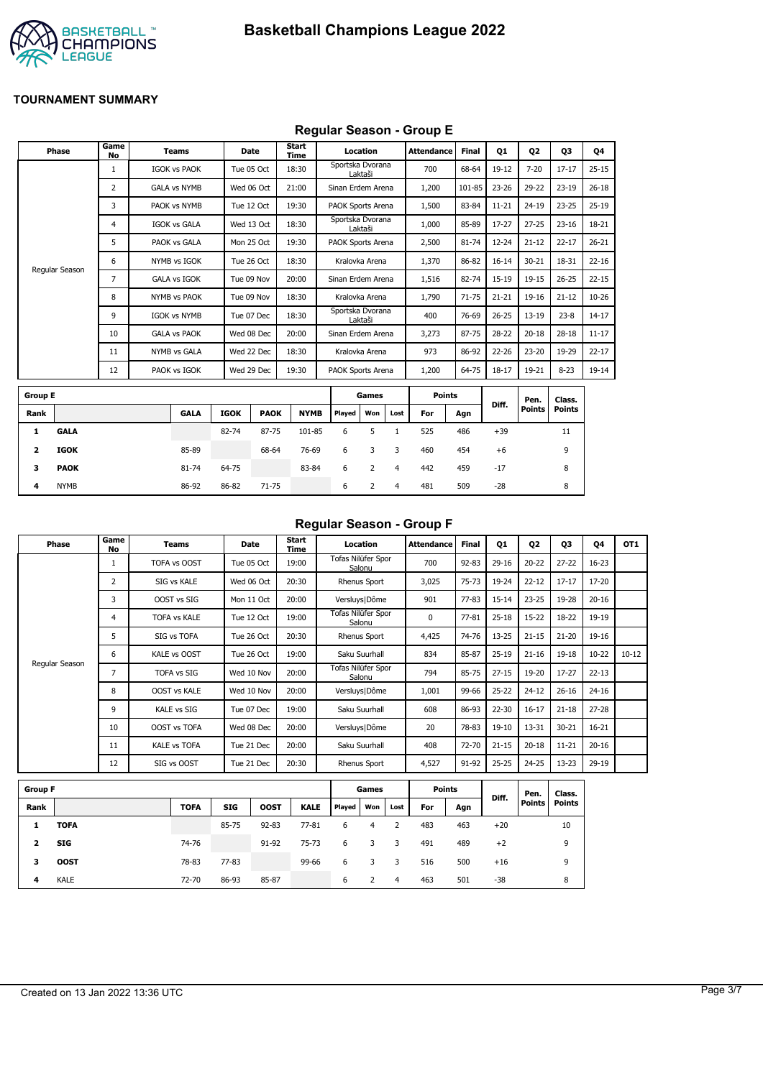

## **Regular Season - Group E**

|                | Phase          | Game<br>No     | <b>Teams</b>        |             | Date        | Start<br>Time |                          | Location       |      | <b>Attendance</b> | <b>Final</b> | 01        | <b>Q2</b>             | 03                      | Q4        |
|----------------|----------------|----------------|---------------------|-------------|-------------|---------------|--------------------------|----------------|------|-------------------|--------------|-----------|-----------------------|-------------------------|-----------|
|                |                | 1              | <b>IGOK vs PAOK</b> |             | Tue 05 Oct  | 18:30         | Sportska Dvorana         | Laktaši        |      | 700               | 68-64        | 19-12     | $7 - 20$              | $17 - 17$               | $25 - 15$ |
|                |                | $\overline{2}$ | <b>GALA vs NYMB</b> |             | Wed 06 Oct  | 21:00         | Sinan Erdem Arena        |                |      | 1,200             | 101-85       | $23 - 26$ | 29-22                 | $23 - 19$               | $26 - 18$ |
|                |                | 3              | PAOK vs NYMB        |             | Tue 12 Oct  | 19:30         | PAOK Sports Arena        |                |      | 1,500             | 83-84        | $11 - 21$ | $24 - 19$             | $23 - 25$               | $25-19$   |
|                |                | 4              | <b>IGOK vs GALA</b> |             | Wed 13 Oct  | 18:30         | Sportska Dvorana         | Laktaši        |      | 1,000             | 85-89        | 17-27     | $27 - 25$             | $23 - 16$               | 18-21     |
|                |                | 5              | PAOK vs GALA        |             | Mon 25 Oct  | 19:30         | PAOK Sports Arena        |                |      | 2,500             | 81-74        | $12 - 24$ | $21 - 12$             | $22 - 17$               | $26 - 21$ |
|                |                | 6              | NYMB vs IGOK        |             | Tue 26 Oct  | 18:30         |                          | Kralovka Arena |      | 1,370             | 86-82        | $16 - 14$ | $30 - 21$             | 18-31                   | $22 - 16$ |
|                | Regular Season | 7              | <b>GALA vs IGOK</b> |             | Tue 09 Nov  | 20:00         | Sinan Erdem Arena        |                |      | 1,516             | 82-74        | $15 - 19$ | $19 - 15$             | $26 - 25$               | $22 - 15$ |
|                |                | 8              | <b>NYMB vs PAOK</b> |             | Tue 09 Nov  | 18:30         |                          | Kralovka Arena |      | 1,790             | $71 - 75$    | $21 - 21$ | $19 - 16$             | $21 - 12$               | $10 - 26$ |
|                |                | 9              | <b>IGOK vs NYMB</b> |             | Tue 07 Dec  | 18:30         | Sportska Dvorana         | Laktaši        |      | 400               | 76-69        | $26 - 25$ | $13 - 19$             | $23 - 8$                | $14 - 17$ |
|                |                | 10             | <b>GALA vs PAOK</b> |             | Wed 08 Dec  | 20:00         | Sinan Erdem Arena        |                |      | 3,273             | 87-75        | 28-22     | $20 - 18$             | $28 - 18$               | $11 - 17$ |
|                |                | 11             | <b>NYMB vs GALA</b> |             | Wed 22 Dec  | 18:30         |                          | Kralovka Arena |      | 973               | 86-92        | 22-26     | $23 - 20$             | 19-29                   | $22 - 17$ |
|                |                | 12             | PAOK vs IGOK        |             | Wed 29 Dec  | 19:30         | <b>PAOK Sports Arena</b> |                |      | 1,200             | 64-75        | $18 - 17$ | 19-21                 | $8 - 23$                | 19-14     |
| <b>Group E</b> |                |                |                     |             |             |               |                          | Games          |      | <b>Points</b>     |              |           |                       |                         |           |
| Rank           |                |                | <b>GALA</b>         | <b>IGOK</b> | <b>PAOK</b> | <b>NYMB</b>   | Played                   | Won            | Lost | For               | Agn          | Diff.     | Pen.<br><b>Points</b> | Class.<br><b>Points</b> |           |
| 1              | <b>GALA</b>    |                |                     | 82-74       | 87-75       | 101-85        | 6                        | 5              | 1    | 525               | 486          | $+39$     |                       | 11                      |           |
| 2              | <b>IGOK</b>    |                | 85-89               |             | 68-64       | 76-69         | 6                        | 3              | 3    | 460               | 454          | $+6$      |                       | 9                       |           |
| з              | <b>PAOK</b>    |                | 81-74               | 64-75       |             | 83-84         | 6                        | $\overline{2}$ | 4    | 442               | 459          | $-17$     |                       | 8                       |           |
| 4              | <b>NYMB</b>    |                | 86-92               | 86-82       | 71-75       |               | 6                        | $\overline{2}$ | 4    | 481               | 509          | $-28$     |                       | 8                       |           |
|                |                |                |                     |             |             |               |                          |                |      |                   |              |           |                       |                         |           |

#### **Regular Season - Group F**

| Phase          | Game<br>No     | Teams               | Date       | Start<br>Time | Location                     | <b>Attendance</b> | Final     | 01        | Q <sub>2</sub> | 03        | 04        | OT <sub>1</sub> |
|----------------|----------------|---------------------|------------|---------------|------------------------------|-------------------|-----------|-----------|----------------|-----------|-----------|-----------------|
|                |                | TOFA vs OOST        | Tue 05 Oct | 19:00         | Tofas Nilüfer Spor<br>Salonu | 700               | $92 - 83$ | $29 - 16$ | $20 - 22$      | $27 - 22$ | $16 - 23$ |                 |
|                | $\overline{2}$ | SIG vs KALE         | Wed 06 Oct | 20:30         | Rhenus Sport                 | 3,025             | $75 - 73$ | 19-24     | $22 - 12$      | $17 - 17$ | 17-20     |                 |
|                | 3              | OOST vs SIG         | Mon 11 Oct | 20:00         | Versluys   Dôme              | 901               | $77 - 83$ | $15 - 14$ | $23 - 25$      | 19-28     | $20 - 16$ |                 |
|                | 4              | <b>TOFA vs KALE</b> | Tue 12 Oct | 19:00         | Tofas Nilüfer Spor<br>Salonu | 0                 | $77 - 81$ | $25 - 18$ | $15 - 22$      | 18-22     | 19-19     |                 |
|                | 5              | SIG vs TOFA         | Tue 26 Oct | 20:30         | Rhenus Sport                 | 4,425             | 74-76     | $13 - 25$ | $21 - 15$      | $21 - 20$ | 19-16     |                 |
|                | 6              | KALE vs OOST        | Tue 26 Oct | 19:00         | Saku Suurhall                | 834               | 85-87     | $25-19$   | $21 - 16$      | $19 - 18$ | $10 - 22$ | $10 - 12$       |
| Regular Season | 7              | <b>TOFA vs SIG</b>  | Wed 10 Nov | 20:00         | Tofas Nilüfer Spor<br>Salonu | 794               | 85-75     | $27 - 15$ | 19-20          | $17 - 27$ | $22 - 13$ |                 |
|                | 8              | <b>OOST vs KALE</b> | Wed 10 Nov | 20:00         | Versluys   Dôme              | 1,001             | 99-66     | $25 - 22$ | $24 - 12$      | $26 - 16$ | $24 - 16$ |                 |
|                | 9              | <b>KALE vs SIG</b>  | Tue 07 Dec | 19:00         | Saku Suurhall                | 608               | 86-93     | $22 - 30$ | $16 - 17$      | $21 - 18$ | $27 - 28$ |                 |
|                | 10             | <b>OOST vs TOFA</b> | Wed 08 Dec | 20:00         | Versluys   Dôme              | 20                | 78-83     | $19-10$   | 13-31          | $30 - 21$ | $16 - 21$ |                 |
|                | 11             | <b>KALE vs TOFA</b> | Tue 21 Dec | 20:00         | Saku Suurhall                | 408               | 72-70     | $21 - 15$ | $20 - 18$      | $11 - 21$ | $20 - 16$ |                 |
|                | 12             | SIG vs OOST         | Tue 21 Dec | 20:30         | Rhenus Sport                 | 4,527             | 91-92     | $25 - 25$ | 24-25          | $13 - 23$ | 29-19     |                 |

| <b>Group F</b> |             |             |            |             |             |        | Games |      | <b>Points</b> |     |       | Pen.          | Class.        |
|----------------|-------------|-------------|------------|-------------|-------------|--------|-------|------|---------------|-----|-------|---------------|---------------|
| Rank           |             | <b>TOFA</b> | <b>SIG</b> | <b>OOST</b> | <b>KALE</b> | Played | Won   | Lost | For           | Agn | Diff. | <b>Points</b> | <b>Points</b> |
|                | <b>TOFA</b> |             | 85-75      | $92 - 83$   | $77 - 81$   | 6      | 4     |      | 483           | 463 | $+20$ |               | 10            |
| 2              | <b>SIG</b>  | 74-76       |            | 91-92       | $75 - 73$   | 6      |       | 3    | 491           | 489 | $+2$  |               | 9             |
| з              | <b>OOST</b> | 78-83       | 77-83      |             | 99-66       | 6      |       | 3    | 516           | 500 | $+16$ |               | 9             |
| 4              | <b>KALE</b> | 72-70       | 86-93      | 85-87       |             | 6      |       | 4    | 463           | 501 | $-38$ |               | 8             |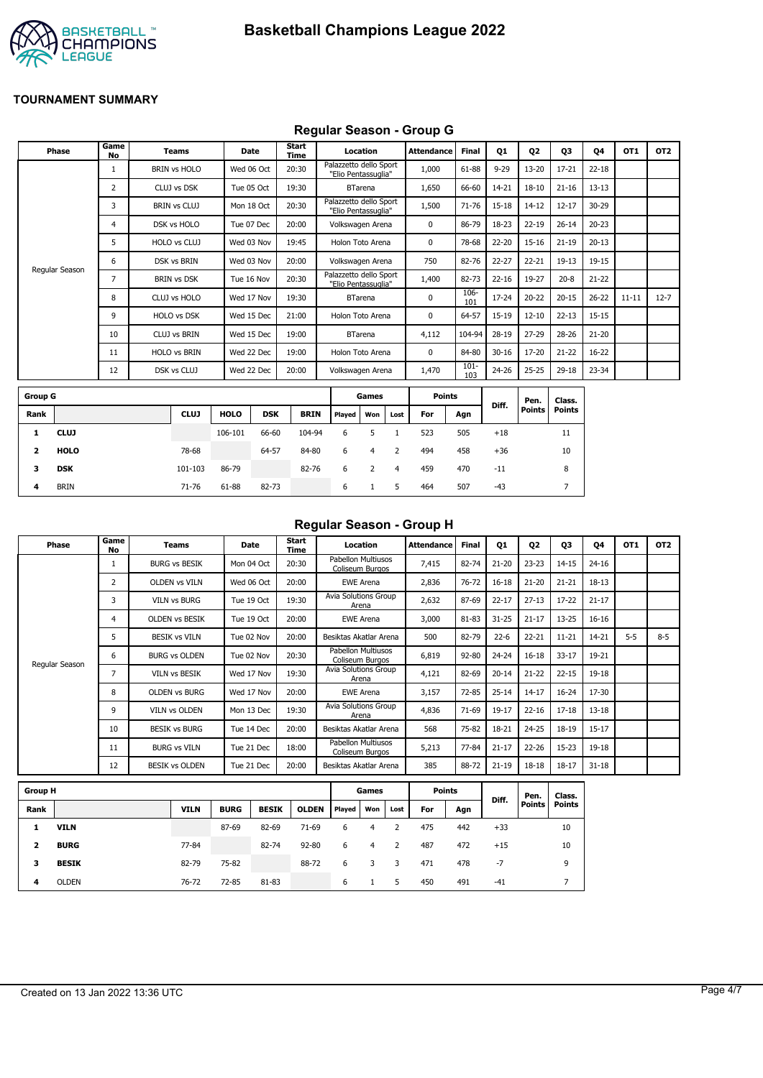

## **Regular Season - Group G**

|                | <b>Phase</b>   | Game<br><b>No</b> | <b>Teams</b>        | <b>Date</b> |            | <b>Start</b><br>Time |                                               | Location       |      | <b>Attendance</b> | Final          | Q1        | Q <sub>2</sub> | Q3            | Q4        | OT1       | OT <sub>2</sub> |
|----------------|----------------|-------------------|---------------------|-------------|------------|----------------------|-----------------------------------------------|----------------|------|-------------------|----------------|-----------|----------------|---------------|-----------|-----------|-----------------|
|                |                | 1                 | <b>BRIN vs HOLO</b> | Wed 06 Oct  |            | 20:30                | Palazzetto dello Sport<br>"Elio Pentassuglia" |                |      | 1,000             | 61-88          | $9 - 29$  | $13 - 20$      | $17 - 21$     | $22 - 18$ |           |                 |
|                |                | 2                 | CLUJ vs DSK         | Tue 05 Oct  |            | 19:30                |                                               | <b>BTarena</b> |      | 1,650             | 66-60          | 14-21     | $18 - 10$      | $21 - 16$     | $13 - 13$ |           |                 |
|                |                | 3                 | <b>BRIN vs CLUJ</b> |             | Mon 18 Oct | 20:30                | Palazzetto dello Sport<br>"Elio Pentassuglia" |                |      | 1,500             | $71 - 76$      | 15-18     | $14 - 12$      | $12 - 17$     | 30-29     |           |                 |
|                |                | 4                 | DSK vs HOLO         | Tue 07 Dec  |            | 20:00                | Volkswagen Arena                              |                |      | $\mathbf 0$       | 86-79          | 18-23     | $22 - 19$      | $26 - 14$     | $20 - 23$ |           |                 |
|                |                | 5                 | HOLO vs CLUJ        | Wed 03 Nov  |            | 19:45                | Holon Toto Arena                              |                |      | 0                 | 78-68          | 22-20     | $15 - 16$      | $21 - 19$     | $20 - 13$ |           |                 |
|                |                | 6                 | DSK vs BRIN         | Wed 03 Nov  |            | 20:00                | Volkswagen Arena                              |                |      | 750               | 82-76          | 22-27     | $22 - 21$      | $19 - 13$     | 19-15     |           |                 |
|                | Regular Season | 7                 | <b>BRIN vs DSK</b>  | Tue 16 Nov  |            | 20:30                | Palazzetto dello Sport<br>"Elio Pentassuglia" |                |      | 1,400             | 82-73          | $22 - 16$ | 19-27          | $20 - 8$      | $21 - 22$ |           |                 |
|                |                | 8                 | CLUJ vs HOLO        | Wed 17 Nov  |            | 19:30                |                                               | <b>BTarena</b> |      | $\mathbf 0$       | 106-<br>101    | 17-24     | $20 - 22$      | $20 - 15$     | $26 - 22$ | $11 - 11$ | $12 - 7$        |
|                |                | 9                 | <b>HOLO vs DSK</b>  | Wed 15 Dec  |            | 21:00                | Holon Toto Arena                              |                |      | 0                 | 64-57          | 15-19     | $12 - 10$      | $22 - 13$     | 15-15     |           |                 |
|                |                | 10                | <b>CLUJ vs BRIN</b> | Wed 15 Dec  |            | 19:00                |                                               | <b>BTarena</b> |      | 4,112             | 104-94         | 28-19     | $27 - 29$      | 28-26         | $21 - 20$ |           |                 |
|                |                | 11                | <b>HOLO vs BRIN</b> | Wed 22 Dec  |            | 19:00                | Holon Toto Arena                              |                |      | $\mathbf 0$       | 84-80          | $30 - 16$ | 17-20          | $21 - 22$     | $16 - 22$ |           |                 |
|                |                | 12                | DSK vs CLUJ         | Wed 22 Dec  |            | 20:00                | Volkswagen Arena                              |                |      | 1,470             | $101 -$<br>103 | 24-26     | $25 - 25$      | 29-18         | 23-34     |           |                 |
| <b>Group G</b> |                |                   |                     |             |            |                      |                                               | Games          |      | <b>Points</b>     |                |           | Pen.           | Class.        |           |           |                 |
| Rank           |                |                   | <b>CLUJ</b>         | <b>HOLO</b> | <b>DSK</b> | <b>BRIN</b>          | Played                                        | Won            | Lost | For               | Agn            | Diff.     | <b>Points</b>  | <b>Points</b> |           |           |                 |
| 1              | <b>CLUJ</b>    |                   |                     | 106-101     | 66-60      | 104-94               | 6                                             | 5              |      | 523               | 505            | $+18$     |                | 11            |           |           |                 |

| $\mathbf{2}$ | <b>HOLO</b> | 78-68   |       | 64-57 | 84-80 | 6 4       |     | 2           | 494 | 458 | $+36$ | 10 |
|--------------|-------------|---------|-------|-------|-------|-----------|-----|-------------|-----|-----|-------|----|
| 3            | DSK         | 101-103 | 86-79 |       | 82-76 | $\cdot$ 6 | 2 4 |             | 459 | 470 | $-11$ | 8  |
| 4            | <b>BRIN</b> | 71-76   | 61-88 | 82-73 |       | 6         |     | $5^{\circ}$ | 464 | 507 | -43   |    |
|              |             |         |       |       |       |           |     |             |     |     |       |    |

#### **Regular Season - Group H**

| Phase          | Game<br>No | Teams                 | Date       | Start<br>Time | Location                              | <b>Attendance</b> | <b>Final</b> | Q1        | Q <sub>2</sub> | Q3        | 04        | OT <sub>1</sub> | OT <sub>2</sub> |
|----------------|------------|-----------------------|------------|---------------|---------------------------------------|-------------------|--------------|-----------|----------------|-----------|-----------|-----------------|-----------------|
|                |            | <b>BURG vs BESIK</b>  | Mon 04 Oct | 20:30         | Pabellon Multiusos<br>Coliseum Burgos | 7,415             | 82-74        | $21 - 20$ | $23 - 23$      | $14 - 15$ | $24 - 16$ |                 |                 |
|                | 2          | <b>OLDEN vs VILN</b>  | Wed 06 Oct | 20:00         | <b>EWE Arena</b>                      | 2,836             | 76-72        | $16 - 18$ | $21 - 20$      | $21 - 21$ | $18 - 13$ |                 |                 |
|                | 3          | <b>VILN vs BURG</b>   | Tue 19 Oct | 19:30         | Avia Solutions Group<br>Arena         | 2,632             | 87-69        | $22 - 17$ | $27 - 13$      | $17 - 22$ | $21 - 17$ |                 |                 |
|                | 4          | <b>OLDEN vs BESIK</b> | Tue 19 Oct | 20:00         | <b>EWE Arena</b>                      | 3,000             | 81-83        | $31 - 25$ | $21 - 17$      | $13 - 25$ | $16 - 16$ |                 |                 |
|                | 5          | <b>BESIK vs VILN</b>  | Tue 02 Nov | 20:00         | Besiktas Akatlar Arena                | 500               | 82-79        | $22 - 6$  | $22 - 21$      | $11 - 21$ | 14-21     | $5 - 5$         | $8 - 5$         |
|                | 6          | <b>BURG vs OLDEN</b>  | Tue 02 Nov | 20:30         | Pabellon Multiusos<br>Coliseum Burgos | 6,819             | 92-80        | $24 - 24$ | $16 - 18$      | $33 - 17$ | 19-21     |                 |                 |
| Regular Season | 7          | VILN vs BESIK         | Wed 17 Nov | 19:30         | Avia Solutions Group<br>Arena         | 4,121             | 82-69        | $20 - 14$ | $21 - 22$      | $22 - 15$ | 19-18     |                 |                 |
|                | 8          | <b>OLDEN vs BURG</b>  | Wed 17 Nov | 20:00         | <b>EWE Arena</b>                      | 3,157             | 72-85        | $25 - 14$ | $14 - 17$      | 16-24     | 17-30     |                 |                 |
|                | 9          | <b>VILN vs OLDEN</b>  | Mon 13 Dec | 19:30         | Avia Solutions Group<br>Arena         | 4,836             | 71-69        | $19 - 17$ | $22 - 16$      | $17 - 18$ | $13 - 18$ |                 |                 |
|                | 10         | <b>BESIK vs BURG</b>  | Tue 14 Dec | 20:00         | Besiktas Akatlar Arena                | 568               | 75-82        | 18-21     | $24 - 25$      | 18-19     | $15 - 17$ |                 |                 |
|                | 11         | <b>BURG vs VILN</b>   | Tue 21 Dec | 18:00         | Pabellon Multiusos<br>Coliseum Burgos | 5,213             | 77-84        | $21 - 17$ | $22 - 26$      | $15 - 23$ | 19-18     |                 |                 |
|                | 12         | <b>BESIK vs OLDEN</b> | Tue 21 Dec | 20:00         | Besiktas Akatlar Arena                | 385               | 88-72        | $21 - 19$ | $18 - 18$      | 18-17     | $31 - 18$ |                 |                 |

| <b>Group H</b> |              |             |             |              |              |               | Games |      |     | <b>Points</b> |       | Pen.          | Class.        |
|----------------|--------------|-------------|-------------|--------------|--------------|---------------|-------|------|-----|---------------|-------|---------------|---------------|
| Rank           |              | <b>VILN</b> | <b>BURG</b> | <b>BESIK</b> | <b>OLDEN</b> | <b>Played</b> | Won   | Lost | For | Agn           | Diff. | <b>Points</b> | <b>Points</b> |
| 1              | <b>VILN</b>  |             | 87-69       | 82-69        | $71-69$      | 6             | 4     |      | 475 | 442           | $+33$ |               | 10            |
| 2              | <b>BURG</b>  | 77-84       |             | 82-74        | $92 - 80$    | 6             | 4     | 2    | 487 | 472           | $+15$ |               | 10            |
| 3              | <b>BESIK</b> | 82-79       | 75-82       |              | 88-72        | 6             |       | 3    | 471 | 478           | $-7$  |               | 9             |
| 4              | <b>OLDEN</b> | 76-72       | 72-85       | 81-83        |              | 6             |       | 5    | 450 | 491           | $-41$ |               |               |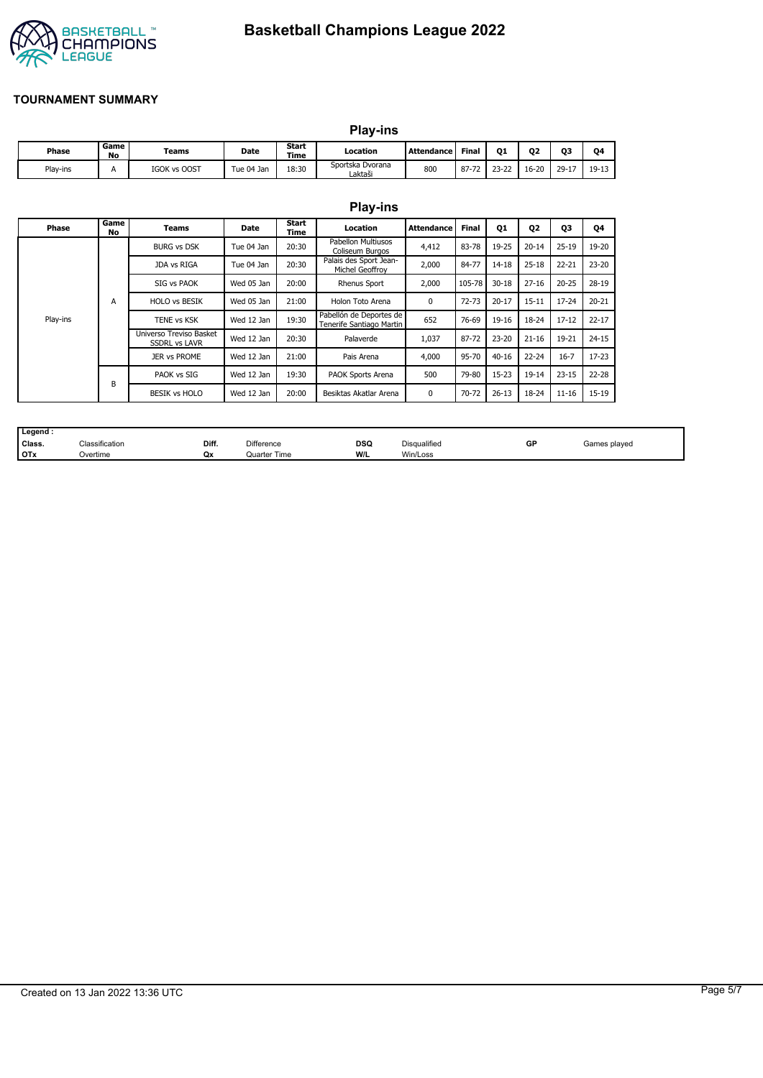

# **Basketball Champions League 2022**

### **TOURNAMENT SUMMARY**

|          |            | <b>Play-ins</b> |            |                      |                             |                   |       |           |           |           |         |  |
|----------|------------|-----------------|------------|----------------------|-----------------------------|-------------------|-------|-----------|-----------|-----------|---------|--|
| Phase    | Game<br>No | Teams           | Date       | <b>Start</b><br>Time | Location                    | <b>Attendance</b> | Final | 01        | 02        | О3        | 04      |  |
| Play-ins | А          | IGOK vs OOST    | Tue 04 Jan | 18:30                | Sportska Dvorana<br>Laktaši | 800               | 87-72 | $23 - 22$ | $16 - 20$ | $29 - 17$ | $19-13$ |  |

|          |            |                                                 |            |               | <b>Play-ins</b>                                     |                   |           |           |                |           |           |
|----------|------------|-------------------------------------------------|------------|---------------|-----------------------------------------------------|-------------------|-----------|-----------|----------------|-----------|-----------|
| Phase    | Game<br>No | Teams                                           | Date       | Start<br>Time | Location                                            | <b>Attendance</b> | Final     | <b>Q1</b> | Q <sub>2</sub> | 03        | Q4        |
|          |            | <b>BURG vs DSK</b>                              | Tue 04 Jan | 20:30         | <b>Pabellon Multiusos</b><br>Coliseum Burgos        | 4,412             | 83-78     | 19-25     | $20 - 14$      | $25 - 19$ | 19-20     |
|          |            | JDA vs RIGA                                     | Tue 04 Jan | 20:30         | Palais des Sport Jean-<br>Michel Geoffroy           | 2,000             | 84-77     | 14-18     | $25 - 18$      | $22 - 21$ | $23 - 20$ |
|          | A          | SIG vs PAOK                                     | Wed 05 Jan | 20:00         | <b>Rhenus Sport</b>                                 | 2,000             | 105-78    | $30 - 18$ | $27 - 16$      | $20 - 25$ | 28-19     |
|          |            | <b>HOLO vs BESIK</b>                            | Wed 05 Jan | 21:00         | Holon Toto Arena                                    | 0                 | $72 - 73$ | $20 - 17$ | $15 - 11$      | 17-24     | $20 - 21$ |
| Play-ins |            | TENE vs KSK                                     | Wed 12 Jan | 19:30         | Pabellón de Deportes de<br>Tenerife Santiago Martin | 652               | 76-69     | 19-16     | 18-24          | $17 - 12$ | $22 - 17$ |
|          |            | Universo Treviso Basket<br><b>SSDRL vs LAVR</b> | Wed 12 Jan | 20:30         | Palaverde                                           | 1,037             | 87-72     | $23 - 20$ | $21 - 16$      | 19-21     | $24 - 15$ |
|          |            | <b>JER vs PROME</b>                             | Wed 12 Jan | 21:00         | Pais Arena                                          | 4,000             | 95-70     | $40 - 16$ | $22 - 24$      | $16 - 7$  | $17 - 23$ |
|          | B          | PAOK vs SIG                                     | Wed 12 Jan | 19:30         | PAOK Sports Arena                                   | 500               | 79-80     | 15-23     | $19 - 14$      | $23 - 15$ | $22 - 28$ |
|          |            | <b>BESIK vs HOLO</b>                            | Wed 12 Jan | 20:00         | Besiktas Akatlar Arena                              | 0                 | 70-72     | $26 - 13$ | 18-24          | $11 - 16$ | $15 - 19$ |

| Legend:    |                |       |                   |            |                     |    |              |
|------------|----------------|-------|-------------------|------------|---------------------|----|--------------|
| Class.     | Classification | Diff. | <b>Difference</b> | <b>DSQ</b> | <b>Disqualified</b> | GF | Games plaved |
| <b>OTx</b> | Overtime       | Qx    | Quarter Time      | W/L        | Win/Loss            |    |              |

## Created on 13 Jan 2022 13:36 UTC Page 5/7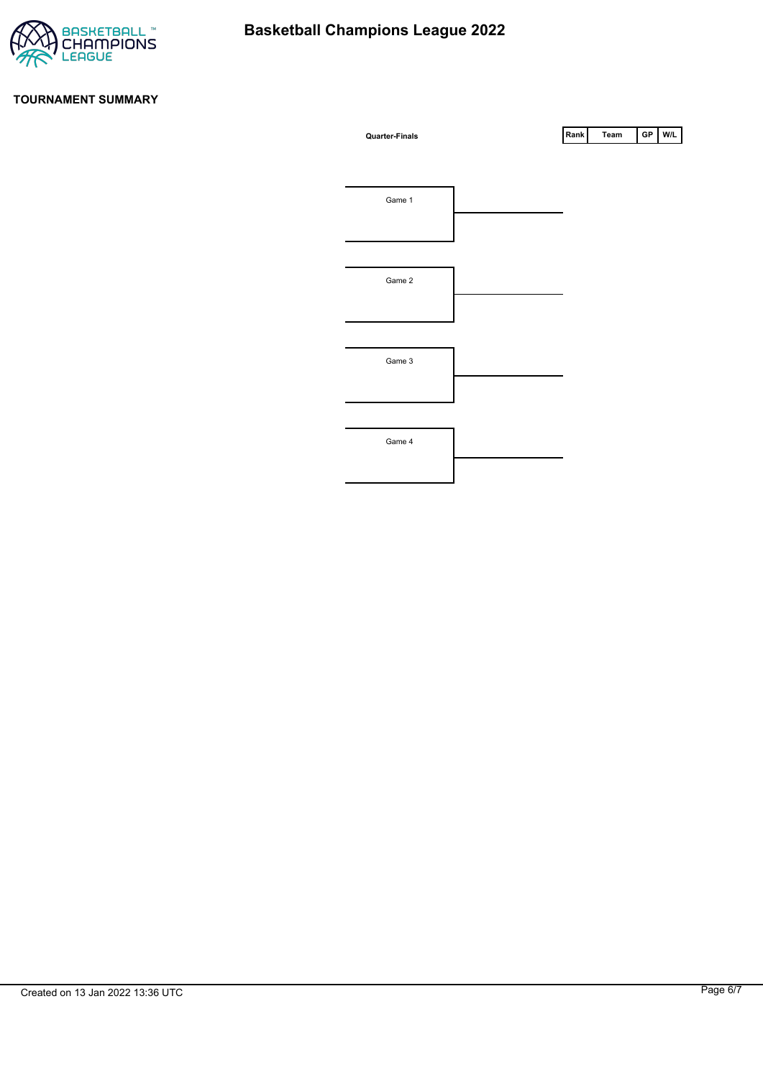